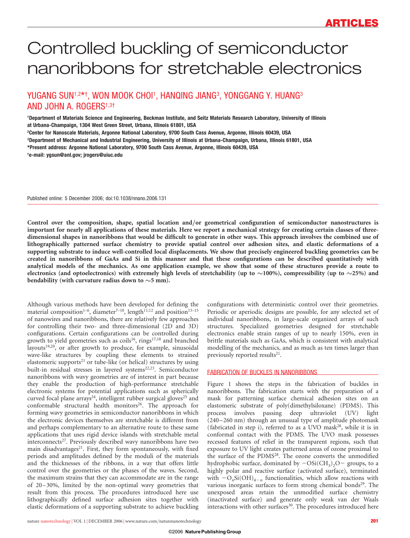# Controlled buckling of semiconductor nanoribbons for stretchable electronics

# YUGANG SUN1,2\*†, WON MOOK CHOI1, HANQING JIANG3, YONGGANG Y. HUANG3 AND JOHN A. ROGERS<sup>1,3†</sup>

1Department of Materials Science and Engineering, Beckman Institute, and Seitz Materials Research Laboratory, University of Illinois at Urbana-Champaign, 1304 West Green Street, Urbana, Illinois 61801, USA 2Center for Nanoscale Materials, Argonne National Laboratory, 9700 South Cass Avenue, Argonne, Illinois 60439, USA 3Department of Mechanical and Industrial Engineering, University of Illinois at Urbana-Champaign, Urbana, Illinois 61801, USA \*Present address: Argonne National Laboratory, 9700 South Cass Avenue, Argonne, Illinois 60439, USA † e-mail: ygsun@anl.gov; jrogers@uiuc.edu

Published online: 5 December 2006; doi:10.1038/nnano.2006.131

Control over the composition, shape, spatial location and/or geometrical configuration of semiconductor nanostructures is important for nearly all applications of these materials. Here we report a mechanical strategy for creating certain classes of threedimensional shapes in nanoribbons that would be difficult to generate in other ways. This approach involves the combined use of lithographically patterned surface chemistry to provide spatial control over adhesion sites, and elastic deformations of a supporting substrate to induce well-controlled local displacements. We show that precisely engineered buckling geometries can be created in nanoribbons of GaAs and Si in this manner and that these configurations can be described quantitatively with analytical models of the mechanics. As one application example, we show that some of these structures provide a route to electronics (and optoelectronics) with extremely high levels of stretchability (up to  $\sim$ 100%), compressibility (up to  $\sim$ 25%) and bendability (with curvature radius down to  ${\sim}5$  mm).

Although various methods have been developed for defining the material composition<sup>1-6</sup>, diameter<sup>7-10</sup>, length<sup>11,12</sup> and position<sup>13-15</sup> of nanowires and nanoribbons, there are relatively few approaches for controlling their two- and three-dimensional (2D and 3D) configurations. Certain configurations can be controlled during growth to yield geometries such as coils<sup>16</sup>, rings<sup>17,18</sup> and branched layouts<sup>19,20</sup>, or after growth to produce, for example, sinusoidal wave-like structures by coupling these elements to strained elastomeric supports<sup>21</sup> or tube-like (or helical) structures by using built-in residual stresses in layered systems<sup>22,23</sup>. Semiconductor nanoribbons with wavy geometries are of interest in part because they enable the production of high-performance stretchable electronic systems for potential applications such as spherically curved focal plane arrays<sup>24</sup>, intelligent rubber surgical gloves<sup>25</sup> and conformable structural health monitors<sup>26</sup>. The approach for forming wavy geometries in semiconductor nanoribbons in which the electronic devices themselves are stretchable is different from and perhaps complementary to an alternative route to these same applications that uses rigid device islands with stretchable metal interconnects<sup>27</sup>. Previously described wavy nanoribbons have two main disadvantages $21$ . First, they form spontaneously, with fixed periods and amplitudes defined by the moduli of the materials and the thicknesses of the ribbons, in a way that offers little control over the geometries or the phases of the waves. Second, the maximum strains that they can accommodate are in the range of 20–30%, limited by the non-optimal wavy geometries that result from this process. The procedures introduced here use lithographically defined surface adhesion sites together with elastic deformations of a supporting substrate to achieve buckling

configurations with deterministic control over their geometries. Periodic or aperiodic designs are possible, for any selected set of individual nanoribbons, in large-scale organized arrays of such structures. Specialized geometries designed for stretchable electronics enable strain ranges of up to nearly 150%, even in brittle materials such as GaAs, which is consistent with analytical modelling of the mechanics, and as much as ten times larger than previously reported results<sup>21</sup>.

# FABRICATION OF BUCKLES IN NANORIBBONS

Figure 1 shows the steps in the fabrication of buckles in nanoribbons. The fabrication starts with the preparation of a mask for patterning surface chemical adhesion sites on an elastomeric substrate of poly(dimethylsiloxane) (PDMS). This process involves passing deep ultraviolet (UV) light  $(240 - 260 \text{ nm})$  through an unusual type of amplitude photomask (fabricated in step i), referred to as a UVO mask<sup>28</sup>, while it is in conformal contact with the PDMS. The UVO mask possesses recessed features of relief in the transparent regions, such that exposure to UV light creates patterned areas of ozone proximal to the surface of the PDMS<sup>28</sup>. The ozone converts the unmodified hydrophobic surface, dominated by  $-OSi(CH_3)_2O$  groups, to a highly polar and reactive surface (activated surface), terminated with  $-O_nSi(OH)_{4-n}$  functionalities, which allow reactions with various inorganic surfaces to form strong chemical bonds<sup>29</sup>. The unexposed areas retain the unmodified surface chemistry (inactivated surface) and generate only weak van der Waals interactions with other surfaces<sup>30</sup>. The procedures introduced here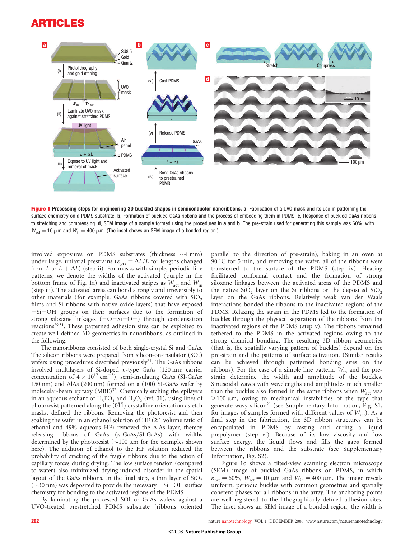# ARTICLES



Figure 1 Processing steps for engineering 3D buckled shapes in semiconductor nanoribbons. a, Fabrication of a UVO mask and its use in patterning the surface chemistry on a PDMS substrate. b, Formation of buckled GaAs ribbons and the process of embedding them in PDMS. c, Response of buckled GaAs ribbons to stretching and compressing. d, SEM image of a sample formed using the procedures in a and b. The pre-strain used for generating this sample was 60%, with  $W_{\text{act}} = 10 \mu \text{m}$  and  $W_{\text{in}} = 400 \mu \text{m}$ . (The inset shows an SEM image of a bonded region.)

involved exposures on PDMS substrates (thickness  $\sim$ 4 mm) under large, uniaxial prestrains ( $\varepsilon_{pre} = \Delta L/L$  for lengths changed from L to  $L + \Delta L$ ) (step ii). For masks with simple, periodic line patterns, we denote the widths of the activated (purple in the bottom frame of Fig. 1a) and inactivated stripes as  $W_{\text{act}}$  and  $W_{\text{in}}$ (step iii). The activated areas can bond strongly and irreversibly to other materials (for example, GaAs ribbons covered with  $SiO<sub>2</sub>$ films and Si ribbons with native oxide layers) that have exposed  $-Si-OH$  groups on their surfaces due to the formation of strong siloxane linkages  $(-O-Si-O)$  through condensation reactions<sup>29,31</sup>. These patterned adhesion sites can be exploited to create well-defined 3D geometries in nanoribbons, as outlined in the following.

The nanoribbons consisted of both single-crystal Si and GaAs. The silicon ribbons were prepared from silicon-on-insulator (SOI) wafers using procedures described previously<sup>21</sup>. The GaAs ribbons involved multilayers of Si-doped n-type GaAs (120 nm; carrier concentration of  $4 \times 10^{17}$  cm<sup>-3</sup>), semi-insulating GaAs (SI-GaAs; 150 nm) and AlAs (200 nm) formed on a (100) SI-GaAs wafer by molecular-beam epitaxy  $(MBE)^{32}$ . Chemically etching the epilayers in an aqueous etchant of  $H_3PO_4$  and  $H_2O_2$  (ref. 31), using lines of photoresist patterned along the  $(01\bar{1})$  crystalline orientation as etch masks, defined the ribbons. Removing the photoresist and then soaking the wafer in an ethanol solution of HF (2:1 volume ratio of ethanol and 49% aqueous HF) removed the AlAs layer, thereby releasing ribbons of GaAs (n-GaAs/SI-GaAs) with widths determined by the photoresist  $(\sim]100 \mu m$  for the examples shown here). The addition of ethanol to the HF solution reduced the probability of cracking of the fragile ribbons due to the action of capillary forces during drying. The low surface tension (compared to water) also minimized drying-induced disorder in the spatial layout of the GaAs ribbons. In the final step, a thin layer of  $SiO<sub>2</sub>$  $(\sim$ 30 nm) was deposited to provide the necessary  $-Si-OH$  surface chemistry for bonding to the activated regions of the PDMS.

By laminating the processed SOI or GaAs wafers against a UVO-treated prestretched PDMS substrate (ribbons oriented

parallel to the direction of pre-strain), baking in an oven at 90  $\degree$ C for 5 min, and removing the wafer, all of the ribbons were transferred to the surface of the PDMS (step iv). Heating facilitated conformal contact and the formation of strong siloxane linkages between the activated areas of the PDMS and the native  $SiO<sub>2</sub>$  layer on the Si ribbons or the deposited  $SiO<sub>2</sub>$ layer on the GaAs ribbons. Relatively weak van der Waals interactions bonded the ribbons to the inactivated regions of the PDMS. Relaxing the strain in the PDMS led to the formation of buckles through the physical separation of the ribbons from the inactivated regions of the PDMS (step v). The ribbons remained tethered to the PDMS in the activated regions owing to the strong chemical bonding. The resulting 3D ribbon geometries (that is, the spatially varying pattern of buckles) depend on the pre-strain and the patterns of surface activation. (Similar results can be achieved through patterned bonding sites on the ribbons). For the case of a simple line pattern,  $W_{in}$  and the prestrain determine the width and amplitude of the buckles. Sinusoidal waves with wavelengths and amplitudes much smaller than the buckles also formed in the same ribbons when  $W_{\text{act}}$  was  $>100 \mu m$ , owing to mechanical instabilities of the type that generate wavy silicon<sup>21</sup> (see Supplementary Information, Fig. S1, for images of samples formed with different values of  $W_{act}$ ). As a final step in the fabrication, the 3D ribbon structures can be encapsulated in PDMS by casting and curing a liquid prepolymer (step vi). Because of its low viscosity and low surface energy, the liquid flows and fills the gaps formed between the ribbons and the substrate (see Supplementary Information, Fig. S2).

Figure 1d shows a tilted-view scanning electron microscope (SEM) image of buckled GaAs ribbons on PDMS, in which  $\varepsilon_{\text{pre}} = 60\%, W_{\text{act}} = 10 \text{ }\mu\text{m}$  and  $W_{\text{in}} = 400 \text{ }\mu\text{m}$ . The image reveals uniform, periodic buckles with common geometries and spatially coherent phases for all ribbons in the array. The anchoring points are well registered to the lithographically defined adhesion sites. The inset shows an SEM image of a bonded region; the width is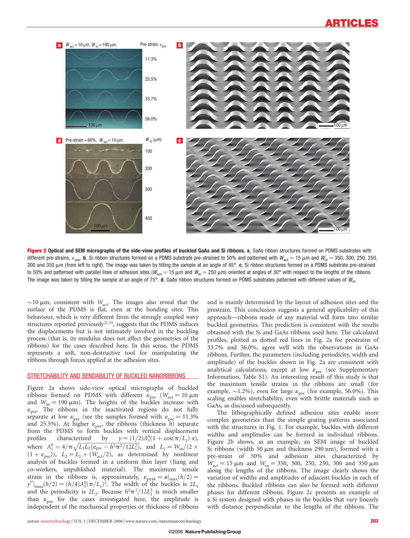

Figure 2 Optical and SEM micrographs of the side-view profiles of buckled GaAs and Si ribbons. a, GaAs ribbon structures formed on PDMS substrates with different pre-strains,  $\varepsilon_{\text{pre}}$ . b, Si ribbon structures formed on a PDMS substrate pre-strained to 50% and patterned with  $W_{\text{act}} = 15 \,\mu\text{m}$  and  $W_{\text{in}} = 350$ , 300, 250, 250, 250, 300 and 350  $\mu$ m (from left to right). The image was taken by tilting the sample at an angle of 45°. c, Si ribbon structures formed on a PDMS substrate pre-strained to 50% and patterned with parallel lines of adhesion sites ( $W_{\text{act}} = 15 \,\mu\text{m}$  and  $W_{\text{in}} = 250 \,\mu\text{m}$ ) oriented at angles of 30° with respect to the lengths of the ribbons. The image was taken by tilting the sample at an angle of 75°. d, GaAs ribbon structures formed on PDMS substrates patterned with different values of  $W_{\text{in}}$ .

 $\sim$ 10  $\mu$ m, consistent with  $W_{\text{act}}$ . The images also reveal that the surface of the PDMS is flat, even at the bonding sites. This behaviour, which is very different from the strongly coupled wavy structures reported previously $2^{1,33}$ , suggests that the PDMS induces the displacements but is not intimately involved in the buckling process (that is, its modulus does not affect the geometries of the ribbons) for the cases described here. In this sense, the PDMS represents a soft, non-destructive tool for manipulating the ribbons through forces applied at the adhesion sites.

# STRETCHABILITY AND BENDABILITY OF BUCKLED NANORIBBONS

Figure 2a shows side-view optical micrographs of buckled ribbons formed on PDMS with different  $\varepsilon_{pre}$  ( $W_{act} = 10 \mu m$ and  $W_{\text{in}} = 190 \text{ }\mu\text{m}$ ). The heights of the buckles increase with  $\varepsilon_{\text{pre}}$ . The ribbons in the inactivated regions do not fully separate at low  $\varepsilon_{\text{pre}}$  (see the samples formed with  $\varepsilon_{\text{pre}} = 11.3\%$ and 25.5%). At higher  $\varepsilon_{pre}$ , the ribbons (thickness h) separate from the PDMS to form buckles with vertical displacement profiles characterized by  $y = (1/2)A_1^0(1 + \cos(\pi/L_1)x)$ , where  $A_1^0 = 4/\pi \sqrt{L_1 L_2(\epsilon_{pre} - h^2 \pi^2 / 12L_1^2)}$ , and  $L_1 = W_{\text{in}}/(2 \times$  $(1 + \varepsilon_{pre})$ ),  $L_2 = L_1 + (W_{act}/2)$ , as determined by nonlinear analysis of buckles formed in a uniform thin layer (Jiang and co-workers, unpublished material). The maximum tensile strain in the ribbons is, approximately,  $\varepsilon_{\text{peak}} = \kappa|_{\text{max}}(h/2)$  =  $y''|_{\text{max}}(h/2) = (h/4)A_1^0(\pi/L_1)^2$ . The width of the buckles is  $2L_1$ and the periodicity is  $2L_2$ . Because  $h^2 \pi^2 / 12L_1^2$  is much smaller than  $\varepsilon_{\text{pre}}$  for the cases investigated here, the amplitude is independent of the mechanical properties or thickness of ribbons

and is mainly determined by the layout of adhesion sites and the prestrain. This conclusion suggests a general applicability of this approach—ribbons made of any material will form into similar buckled geometries. This prediction is consistent with the results obtained with the Si and GaAs ribbons used here. The calculated profiles, plotted as dotted red lines in Fig. 2a for prestrains of 33.7% and 56.0%, agree well with the observations in GaAs ribbons. Further, the parameters (including periodicity, width and amplitude) of the buckles shown in Fig. 2a are consistent with analytical calculations, except at low  $\varepsilon_{pre}$  (see Supplementary Information, Table S1). An interesting result of this study is that the maximum tensile strains in the ribbons are small (for example,  $\sim$ 1.2%), even for large  $\varepsilon_{pre}$  (for example, 56.0%). This scaling enables stretchability, even with brittle materials such as GaAs, as discussed subsequently.

The lithographically defined adhesion sites enable more complex geometries than the simple grating patterns associated with the structures in Fig. 1. For example, buckles with different widths and amplitudes can be formed in individual ribbons. Figure 2b shows, as an example, an SEM image of buckled Si ribbons (width 50  $\mu$ m and thickness 290 nm), formed with a pre-strain of 50% and adhesion sites characterized by  $W_{\text{act}} = 15 \mu \text{m}$  and  $W_{\text{in}} = 350, 300, 250, 250, 300$  and 350  $\mu$ m along the lengths of the ribbons. The image clearly shows the variation of widths and amplitudes of adjacent buckles in each of the ribbons. Buckled ribbons can also be formed with different phases for different ribbons. Figure 2c presents an example of a Si system designed with phases in the buckles that vary linearly with distance perpendicular to the lengths of the ribbons. The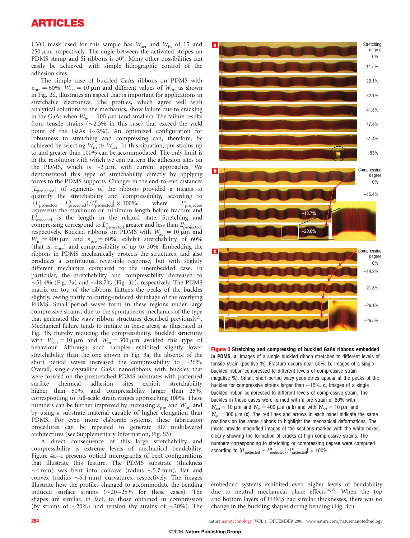UVO mask used for this sample has  $W_{\text{act}}$  and  $W_{\text{in}}$  of 15 and  $250 \mu m$ , respectively. The angle between the activated stripes on PDMS stamp and Si ribbons is  $30^\circ$ . Many other possibilities can easily be achieved, with simple lithographic control of the adhesion sites.

The simple case of buckled GaAs ribbons on PDMS with  $\varepsilon_{\text{pre}} = 60\%$ ,  $W_{\text{act}} = 10 \,\mu\text{m}$  and different values of  $W_{\text{in}}$ , as shown in Fig. 2d, illustrates an aspect that is important for applications in stretchable electronics. The profiles, which agree well with analytical solutions to the mechanics, show failure due to cracking in the GaAs when  $W_{\text{in}} = 100 \mu \text{m}$  (and smaller). The failure results from tensile strains  $(\sim 2.5\%$  in this case) that exceed the yield point of the GaAs  $(\sim2\%)$ . An optimized configuration for robustness to stretching and compressing can, therefore, be achieved by selecting  $W_{\text{in}} \gg W_{\text{act}}$ . In this situation, pre-strains up to and greater than 100% can be accommodated. The only limit is in the resolution with which we can pattern the adhesion sites on the PDMS, which is  $\sim$ 2  $\mu$ m, with current approaches. We demonstrated this type of stretchability directly by applying forces to the PDMS supports. Changes in the end-to-end distances  $(L_{\text{projected}})$  of segments of the ribbons provided a means to quantify the stretchability and compressibility, according to  $|(L_{\text{projected}}^{\star} - L_{\text{projected}}^0)/L_{\text{projected}}^0| \times 100\%, \qquad \text{where} \qquad L_{\text{p}}^{\star}$  $L^*_{\text{projected}}$ represents the maximum or minimum length before fracture and  $L_{\text{projected}}^0$  is the length in the relaxed state. Stretching and compressing correspond to  $L^*_{\text{projected}}$  greater and less than  $L^0_{\text{projected}}$ respectively. Buckled ribbons on PDMS with  $W_{\text{act}} = 10 \mu \text{m}$  and  $W_{\text{in}} = 400 \mu \text{m}$  and  $\varepsilon_{\text{pre}} = 60\%$ , exhibit stretchability of 60% (that is,  $\varepsilon_{\text{pre}}$ ) and compressibility of up to 30%. Embedding the ribbons in PDMS mechanically protects the structures, and also produces a continuous, reversible response, but with slightly different mechanics compared to the unembedded case. In particular, the stretchability and compressibility decreased to  $\sim$ 51.4% (Fig. 3a) and  $\sim$ 18.7% (Fig. 3b), respectively. The PDMS matrix on top of the ribbons flattens the peaks of the buckles slightly, owing partly to curing-induced shrinkage of the overlying PDMS. Small period waves form in these regions under large compressive strains, due to the spontaneous mechanics of the type that generated the wavy ribbon structures described previously<sup>21</sup>. Mechanical failure tends to initiate in these areas, as illustrated in Fig. 3b, thereby reducing the compressibility. Buckled structures with  $W_{\text{act}} = 10 \mu \text{m}$  and  $W_{\text{in}} = 300 \mu \text{m}$  avoided this type of behaviour. Although such samples exhibited slightly lower stretchability than the one shown in Fig. 3a, the absence of the short period waves increased the compressibility to  $\sim$ 26%. Overall, single-crystalline GaAs nanoribbons with buckles that were formed on the prestretched PDMS substrates with patterned surface chemical adhesion sites exhibit stretchability higher than 50%, and compressibility larger than 25%, corresponding to full-scale strain ranges approaching 100%. These numbers can be further improved by increasing  $\varepsilon_{pre}$  and  $W_{in}$ , and by using a substrate material capable of higher elongation than PDMS. For even more elaborate systems, these fabrication procedures can be repeated to generate 3D multilayered architectures (see Supplementary Information, Fig. S3).

A direct consequence of this large stretchability and compressibility is extreme levels of mechanical bendability. Figure 4a–c presents optical micrographs of bent configurations that illustrate this feature. The PDMS substrate (thickness  $\sim$ 4 mm) was bent into concave (radius  $\sim$ 5.7 mm), flat and convex (radius  $\sim 6.1$  mm) curvatures, respectively. The images illustrate how the profiles changed to accommodate the bending induced surface strains  $(\sim 20-25\%$  for these cases). The shapes are similar, in fact, to those obtained in compression (by strains of  $\sim$ 20%) and tension (by strains of  $\sim$ 20%). The



Figure 3 Stretching and compressing of buckled GaAs ribbons embedded in PDMS. a, Images of a single buckled ribbon stretched to different levels of tensile strain (positive %). Fracture occurs near 50%. b, Images of a single buckled ribbon compressed to different levels of compressive strain (negative %). Small, short-period wavy geometries appear at the peaks of the buckles for compressive strains larger than  $\sim$ 15%. c, Images of a single buckled ribbon compressed to different levels of compressive strain. The buckles in these cases were formed with a pre-strain of 60% with  $W_{\text{act}} = 10 \mu \text{m}$  and  $W_{\text{in}} = 400 \mu \text{m}$  (a,b) and with  $W_{\text{act}} = 10 \mu \text{m}$  and  $W_{\text{in}} = 300 \mu \text{m}$  (c). The red lines and arrows in each panel indicate the same positions on the same ribbons to highlight the mechanical deformations. The insets provide magnified images of the sections marked with the white boxes, clearly showing the formation of cracks at high compressive strains. The numbers corresponding to stretching or compressing degree were computed according to  $[(L_{projected} - L_{projected}^0) / L_{projected}^0] \times 100\%$ .

embedded systems exhibited even higher levels of bendability due to neutral mechanical plane effects $34,35$ . When the top and bottom layers of PDMS had similar thicknesses, there was no change in the buckling shapes during bending (Fig. 4d).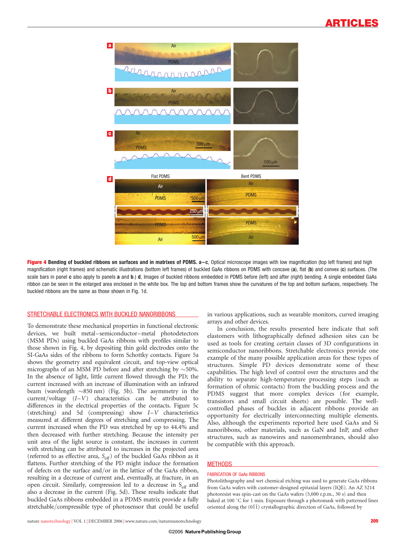

Figure 4 Bending of buckled ribbons on surfaces and in matrixes of PDMS. a-c, Optical microscope images with low magnification (top left frames) and high magnification (right frames) and schematic illustrations (bottom left frames) of buckled GaAs ribbons on PDMS with concave (a), flat (b) and convex (c) surfaces. (The scale bars in panel c also apply to panels a and b.) d, Images of buckled ribbons embedded in PDMS before (left) and after (right) bending. A single embedded GaAs ribbon can be seen in the enlarged area enclosed in the white box. The top and bottom frames show the curvatures of the top and bottom surfaces, respectively. The buckled ribbons are the same as those shown in Fig. 1d.

# STRETCHABLE ELECTRONICS WITH BUCKLED NANORIBBONS

To demonstrate these mechanical properties in functional electronic devices, we built metal–semiconductor–metal photodetectors (MSM PDs) using buckled GaAs ribbons with profiles similar to those shown in Fig. 4, by depositing thin gold electrodes onto the SI-GaAs sides of the ribbons to form Schottky contacts. Figure 5a shows the geometry and equivalent circuit, and top-view optical micrographs of an MSM PD before and after stretching by  $\sim$ 50%. In the absence of light, little current flowed through the PD; the current increased with an increase of illumination with an infrared beam (wavelength  $\sim$ 850 nm) (Fig. 5b). The asymmetry in the current/voltage  $(I-V)$  characteristics can be attributed to differences in the electrical properties of the contacts. Figure 5c (stretching) and 5d (compressing) show I–V characteristics measured at different degrees of stretching and compressing. The current increased when the PD was stretched by up to 44.4% and then decreased with further stretching. Because the intensity per unit area of the light source is constant, the increases in current with stretching can be attributed to increases in the projected area (referred to as effective area,  $S_{\text{eff}}$ ) of the buckled GaAs ribbon as it flattens. Further stretching of the PD might induce the formation of defects on the surface and/or in the lattice of the GaAs ribbon, resulting in a decrease of current and, eventually, at fracture, in an open circuit. Similarly, compression led to a decrease in  $S_{\text{eff}}$  and also a decrease in the current (Fig. 5d). These results indicate that buckled GaAs ribbons embedded in a PDMS matrix provide a fully stretchable/compressible type of photosensor that could be useful

in various applications, such as wearable monitors, curved imaging arrays and other devices.

In conclusion, the results presented here indicate that soft elastomers with lithographically defined adhesion sites can be used as tools for creating certain classes of 3D configurations in semiconductor nanoribbons. Stretchable electronics provide one example of the many possible application areas for these types of structures. Simple PD devices demonstrate some of these capabilities. The high level of control over the structures and the ability to separate high-temperature processing steps (such as formation of ohmic contacts) from the buckling process and the PDMS suggest that more complex devices (for example, transistors and small circuit sheets) are possible. The wellcontrolled phases of buckles in adjacent ribbons provide an opportunity for electrically interconnecting multiple elements. Also, although the experiments reported here used GaAs and Si nanoribbons, other materials, such as GaN and InP, and other structures, such as nanowires and nanomembranes, should also be compatible with this approach.

#### **METHODS**

#### FABRICATION OF GaAs RIBBONS

Photolithography and wet chemical etching was used to generate GaAs ribbons from GaAs wafers with customer-designed epitaxial layers (IQE). An AZ 5214 photoresist was spin-cast on the GaAs wafers (5,000 r.p.m., 30 s) and then baked at 100  $\degree$ C for 1 min. Exposure through a photomask with patterned lines oriented along the  $(01\bar{1})$  crystallographic direction of GaAs, followed by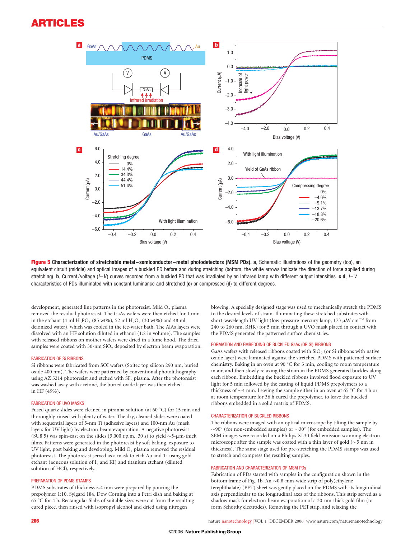# ARTICLES



Figure 5 Characterization of stretchable metal–semiconductor–metal photodetectors (MSM PDs). a, Schematic illustrations of the geometry (top), an equivalent circuit (middle) and optical images of a buckled PD before and during stretching (bottom, the white arrows indicate the direction of force applied during stretching). b, Current/voltage  $(I - V)$  curves recorded from a buckled PD that was irradiated by an Infrared lamp with different output intensities. c,d,  $I - V$ characteristics of PDs illuminated with constant luminance and stretched (c) or compressed (d) to different degrees.

development, generated line patterns in the photoresist. Mild  $O<sub>2</sub>$  plasma removed the residual photoresist. The GaAs wafers were then etched for 1 min in the etchant (4 ml  $H_3PO_4$  (85 wt%), 52 ml  $H_2O_2$  (30 wt%) and 48 ml deionized water), which was cooled in the ice-water bath. The AlAs layers were dissolved with an HF solution diluted in ethanol (1:2 in volume). The samples with released ribbons on mother wafers were dried in a fume hood. The dried samples were coated with  $30$ -nm  $SiO<sub>2</sub>$  deposited by electron beam evaporation.

#### FABRICATION OF Si RIBBONS

Si ribbons were fabricated from SOI wafers (Soitec top silicon 290 nm, buried oxide 400 nm). The wafers were patterned by conventional photolithography using AZ 5214 photoresist and etched with  $SF<sub>6</sub>$  plasma. After the photoresist was washed away with acetone, the buried oxide layer was then etched in HF (49%).

## FABRICATION OF UVO MASKS

Fused quartz slides were cleaned in piranha solution (at 60 °C) for 15 min and thoroughly rinsed with plenty of water. The dry, cleaned slides were coated with sequential layers of 5-nm Ti (adhesive layers) and 100-nm Au (mask layers for UV light) by electron-beam evaporation. A negative photoresist (SU8 5) was spin-cast on the slides (3,000 r.p.m., 30 s) to yield  $\sim$ 5- $\mu$ m-thick films. Patterns were generated in the photoresist by soft baking, exposure to UV light, post baking and developing. Mild  $O<sub>2</sub>$  plasma removed the residual photoresist. The photoresist served as a mask to etch Au and Ti using gold etchant (aqueous solution of I<sub>2</sub> and KI) and titanium etchant (diluted solution of HCl), respectively.

## PREPARATION OF PDMS STAMPS

PDMS substrates of thickness  $\sim$ 4 mm were prepared by pouring the prepolymer 1:10, Sylgard 184, Dow Corning into a Petri dish and baking at 65 8C for 4 h. Rectangular Slabs of suitable sizes were cut from the resulting cured piece, then rinsed with isopropyl alcohol and dried using nitrogen

blowing. A specially designed stage was used to mechanically stretch the PDMS to the desired levels of strain. Illuminating these stretched substrates with short-wavelength UV light (low-pressure mercury lamp, 173  $\mu$ W cm<sup>-2</sup> from 240 to 260 nm, BHK) for 5 min through a UVO mask placed in contact with the PDMS generated the patterned surface chemistries.

## FORMATION AND EMBEDDING OF BUCKLED GaAs (OR SI) RIBBONS

GaAs wafers with released ribbons coated with  $SiO<sub>2</sub>$  (or Si ribbons with native oxide layer) were laminated against the stretched PDMS with patterned surface chemistry. Baking in an oven at 90  $\degree$ C for 5 min, cooling to room temperature in air, and then slowly relaxing the strain in the PDMS generated buckles along each ribbon. Embedding the buckled ribbons involved flood exposure to UV light for 5 min followed by the casting of liquid PDMS prepolymers to a thickness of  $\sim$ 4 mm. Leaving the sample either in an oven at 65 °C for 4 h or at room temperature for 36 h cured the prepolymer, to leave the buckled ribbons embedded in a solid matrix of PDMS.

#### CHARACTERIZATION OF BUCKLED RIBBONS

The ribbons were imaged with an optical microscope by tilting the sample by  $\sim$ 90 $^{\circ}$  (for non-embedded samples) or  $\sim$ 30 $^{\circ}$  (for embedded samples). The SEM images were recorded on a Philips XL30 field-emission scanning electron microscope after the sample was coated with a thin layer of gold ( $\sim$ 5 nm in thickness). The same stage used for pre-stretching the PDMS stamps was used to stretch and compress the resulting samples.

#### FABRICATION AND CHARACTERIZATION OF MSM PDs

Fabrication of PDs started with samples in the configuration shown in the bottom frame of Fig. 1b. An  $\sim$ 0.8-mm-wide strip of poly(ethylene terephthalate) (PET) sheet was gently placed on the PDMS with its longitudinal axis perpendicular to the longitudinal axes of the ribbons. This strip served as a shadow mask for electron-beam evaporation of a 30-nm-thick gold film (to form Schottky electrodes). Removing the PET strip, and relaxing the